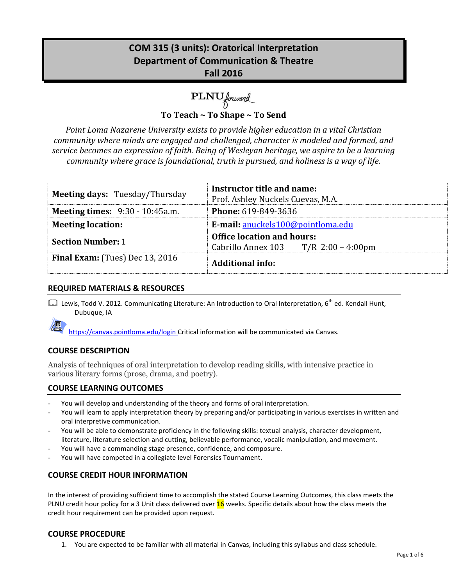# **COM 315 (3 units): Oratorical Interpretation Department of Communication & Theatre Fall 2016**

**PLNU** forward

**To Teach ~ To Shape ~ To Send**

*Point Loma Nazarene University exists to provide higher education in a vital Christian community where minds are engaged and challenged, character is modeled and formed, and service becomes an expression of faith. Being of Wesleyan heritage, we aspire to be a learning community where grace is foundational, truth is pursued, and holiness is a way of life.*

| <b>Meeting days: Tuesday/Thursday</b>  | Instructor title and name:<br>Prof. Ashley Nuckels Cuevas, M.A.             |  |
|----------------------------------------|-----------------------------------------------------------------------------|--|
| <b>Meeting times:</b> 9:30 - 10:45a.m. | <b>Phone: 619-849-3636</b>                                                  |  |
| <b>Meeting location:</b>               | E-mail: anuckels100@pointloma.edu                                           |  |
| <b>Section Number: 1</b>               | <b>Office location and hours:</b><br>Cabrillo Annex 103 $T/R$ 2:00 – 4:00pm |  |
| <b>Final Exam:</b> (Tues) Dec 13, 2016 | <b>Additional info:</b>                                                     |  |

# **REQUIRED MATERIALS & RESOURCES**

La Lewis, Todd V. 2012. Communicating Literature: An Introduction to Oral Interpretation, 6<sup>th</sup> ed. Kendall Hunt, Dubuque, IA

https://canvas.pointloma.edu/login Critical information will be communicated via Canvas.

# **COURSE DESCRIPTION**

Analysis of techniques of oral interpretation to develop reading skills, with intensive practice in various literary forms (prose, drama, and poetry).

## **COURSE LEARNING OUTCOMES**

- You will develop and understanding of the theory and forms of oral interpretation.
- You will learn to apply interpretation theory by preparing and/or participating in various exercises in written and oral interpretive communication.
- You will be able to demonstrate proficiency in the following skills: textual analysis, character development, literature, literature selection and cutting, believable performance, vocalic manipulation, and movement.
- You will have a commanding stage presence, confidence, and composure.
- You will have competed in a collegiate level Forensics Tournament.

# **COURSE CREDIT HOUR INFORMATION**

In the interest of providing sufficient time to accomplish the stated Course Learning Outcomes, this class meets the PLNU credit hour policy for a 3 Unit class delivered over 16 weeks. Specific details about how the class meets the credit hour requirement can be provided upon request.

## **COURSE PROCEDURE**

1. You are expected to be familiar with all material in Canvas, including this syllabus and class schedule.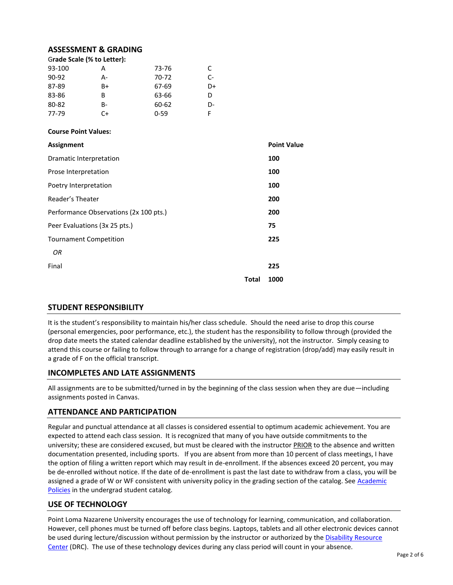#### **ASSESSMENT & GRADING**

| Grade Scale (% to Letter): |    |       |    |  |  |
|----------------------------|----|-------|----|--|--|
| 93-100                     |    | 73-76 |    |  |  |
| 90-92                      | А- | 70-72 | C- |  |  |
| 87-89                      | B+ | 67-69 | D+ |  |  |
| 83-86                      | R  | 63-66 |    |  |  |

80-82 B- 60-62 D-77-79 C+ 0-59 F

#### **Course Point Values:**

| <b>Assignment</b>                      |              | <b>Point Value</b> |
|----------------------------------------|--------------|--------------------|
| <b>Dramatic Interpretation</b>         |              | 100                |
| Prose Interpretation                   |              | 100                |
| Poetry Interpretation                  |              | 100                |
| Reader's Theater                       |              | 200                |
| Performance Observations (2x 100 pts.) |              | 200                |
| Peer Evaluations (3x 25 pts.)          |              | 75                 |
| <b>Tournament Competition</b>          |              | 225                |
| OR                                     |              |                    |
| Final                                  |              | 225                |
|                                        | <b>Total</b> | 1000               |

## **STUDENT RESPONSIBILITY**

It is the student's responsibility to maintain his/her class schedule. Should the need arise to drop this course (personal emergencies, poor performance, etc.), the student has the responsibility to follow through (provided the drop date meets the stated calendar deadline established by the university), not the instructor. Simply ceasing to attend this course or failing to follow through to arrange for a change of registration (drop/add) may easily result in a grade of F on the official transcript.

## **INCOMPLETES AND LATE ASSIGNMENTS**

All assignments are to be submitted/turned in by the beginning of the class session when they are due—including assignments posted in Canvas.

#### **ATTENDANCE AND PARTICIPATION**

Regular and punctual attendance at all classes is considered essential to optimum academic achievement. You are expected to attend each class session. It is recognized that many of you have outside commitments to the university; these are considered excused, but must be cleared with the instructor PRIOR to the absence and written documentation presented, including sports. If you are absent from more than 10 percent of class meetings, I have the option of filing a written report which may result in de-enrollment. If the absences exceed 20 percent, you may be de-enrolled without notice. If the date of de-enrollment is past the last date to withdraw from a class, you will be assigned a grade of W or WF consistent with university policy in the grading section of the catalog. See [Academic](http://www.pointloma.edu/experience/academics/catalogs/undergraduate-catalog/point-loma-education/academic-policies)  [Policies](http://www.pointloma.edu/experience/academics/catalogs/undergraduate-catalog/point-loma-education/academic-policies) in the undergrad student catalog.

#### **USE OF TECHNOLOGY**

Point Loma Nazarene University encourages the use of technology for learning, communication, and collaboration. However, cell phones must be turned off before class begins. Laptops, tablets and all other electronic devices cannot be used during lecture/discussion without permission by the instructor or authorized by the [Disability Resource](http://www.pointloma.edu/experience/offices/administrative-offices/academic-advising-office/disability-resource-center)  [Center](http://www.pointloma.edu/experience/offices/administrative-offices/academic-advising-office/disability-resource-center) (DRC). The use of these technology devices during any class period will count in your absence.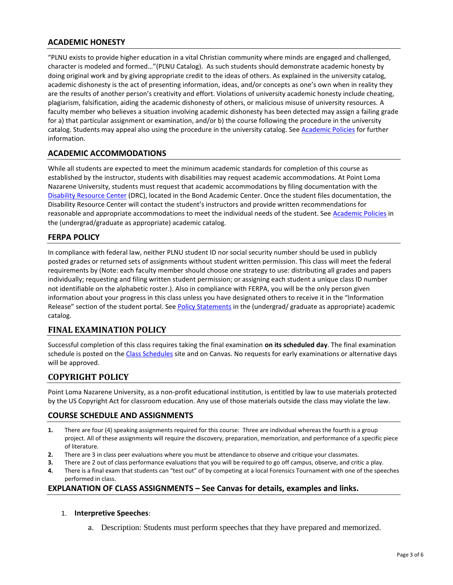# **ACADEMIC HONESTY**

"PLNU exists to provide higher education in a vital Christian community where minds are engaged and challenged, character is modeled and formed…"(PLNU Catalog). As such students should demonstrate academic honesty by doing original work and by giving appropriate credit to the ideas of others. As explained in the university catalog, academic dishonesty is the act of presenting information, ideas, and/or concepts as one's own when in reality they are the results of another person's creativity and effort. Violations of university academic honesty include cheating, plagiarism, falsification, aiding the academic dishonesty of others, or malicious misuse of university resources. A faculty member who believes a situation involving academic dishonesty has been detected may assign a failing grade for a) that particular assignment or examination, and/or b) the course following the procedure in the university catalog. Students may appeal also using the procedure in the university catalog. Se[e Academic Policies](http://www.pointloma.edu/experience/academics/catalogs/undergraduate-catalog/point-loma-education/academic-policies) for further information.

# **ACADEMIC ACCOMMODATIONS**

While all students are expected to meet the minimum academic standards for completion of this course as established by the instructor, students with disabilities may request academic accommodations. At Point Loma Nazarene University, students must request that academic accommodations by filing documentation with the [Disability Resource Center](http://www.pointloma.edu/experience/offices/administrative-offices/academic-advising-office/disability-resource-center) (DRC), located in the Bond Academic Center. Once the student files documentation, the Disability Resource Center will contact the student's instructors and provide written recommendations for reasonable and appropriate accommodations to meet the individual needs of the student. See [Academic Policies](http://www.pointloma.edu/experience/academics/catalogs/undergraduate-catalog/point-loma-education/academic-policies) in the (undergrad/graduate as appropriate) academic catalog.

# **FERPA POLICY**

In compliance with federal law, neither PLNU student ID nor social security number should be used in publicly posted grades or returned sets of assignments without student written permission. This class will meet the federal requirements by (Note: each faculty member should choose one strategy to use: distributing all grades and papers individually; requesting and filing written student permission; or assigning each student a unique class ID number not identifiable on the alphabetic roster.). Also in compliance with FERPA, you will be the only person given information about your progress in this class unless you have designated others to receive it in the "Information Release" section of the student portal. See [Policy Statements](http://www.pointloma.edu/experience/academics/catalogs/undergraduate-catalog/policy-statements) in the (undergrad/ graduate as appropriate) academic catalog.

# **FINAL EXAMINATION POLICY**

Successful completion of this class requires taking the final examination **on its scheduled day**. The final examination schedule is posted on th[e Class Schedules](http://www.pointloma.edu/experience/academics/class-schedules) site and on Canvas. No requests for early examinations or alternative days will be approved.

# **COPYRIGHT POLICY**

Point Loma Nazarene University, as a non-profit educational institution, is entitled by law to use materials protected by the US Copyright Act for classroom education. Any use of those materials outside the class may violate the law.

#### **COURSE SCHEDULE AND ASSIGNMENTS**

- **1.** There are four (4) speaking assignments required for this course: Three are individual whereas the fourth is a group project. All of these assignments will require the discovery, preparation, memorization, and performance of a specific piece of literature.
- **2.** There are 3 in class peer evaluations where you must be attendance to observe and critique your classmates.
- **3.** There are 2 out of class performance evaluations that you will be required to go off campus, observe, and critic a play.
- **4.** There is a final exam that students can "test out" of by competing at a local Forensics Tournament with one of the speeches performed in class.

## **EXPLANATION OF CLASS ASSIGNMENTS – See Canvas for details, examples and links.**

- 1. **Interpretive Speeches**:
	- a. Description: Students must perform speeches that they have prepared and memorized.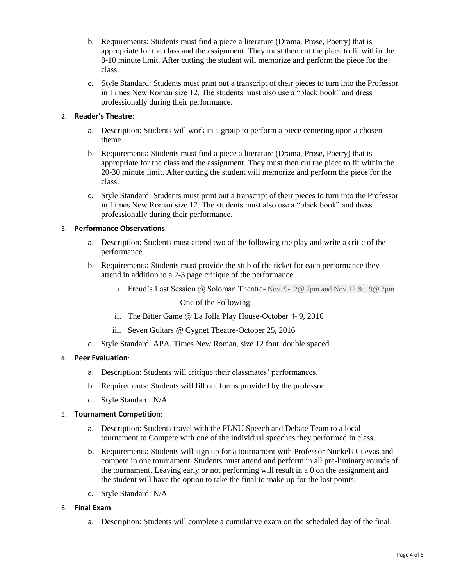- b. Requirements: Students must find a piece a literature (Drama, Prose, Poetry) that is appropriate for the class and the assignment. They must then cut the piece to fit within the 8-10 minute limit. After cutting the student will memorize and perform the piece for the class.
- c. Style Standard: Students must print out a transcript of their pieces to turn into the Professor in Times New Roman size 12. The students must also use a "black book" and dress professionally during their performance.

## 2. **Reader's Theatre**:

- a. Description: Students will work in a group to perform a piece centering upon a chosen theme.
- b. Requirements: Students must find a piece a literature (Drama, Prose, Poetry) that is appropriate for the class and the assignment. They must then cut the piece to fit within the 20-30 minute limit. After cutting the student will memorize and perform the piece for the class.
- c. Style Standard: Students must print out a transcript of their pieces to turn into the Professor in Times New Roman size 12. The students must also use a "black book" and dress professionally during their performance.

## 3. **Performance Observations**:

- a. Description: Students must attend two of the following the play and write a critic of the performance.
- b. Requirements: Students must provide the stub of the ticket for each performance they attend in addition to a 2-3 page critique of the performance.
	- i. Freud's Last Session @ Soloman Theatre- Nov. 9-12@ 7pm and Nov 12 & 19@ 2pm

One of the Following:

- ii. The Bitter Game @ La Jolla Play House-October 4- 9, 2016
- iii. Seven Guitars @ Cygnet Theatre-October 25, 2016
- c. Style Standard: APA. Times New Roman, size 12 font, double spaced.

## 4. **Peer Evaluation**:

- a. Description: Students will critique their classmates' performances.
- b. Requirements: Students will fill out forms provided by the professor.
- c. Style Standard: N/A

## 5. **Tournament Competition**:

- a. Description: Students travel with the PLNU Speech and Debate Team to a local tournament to Compete with one of the individual speeches they performed in class.
- b. Requirements: Students will sign up for a tournament with Professor Nuckels Cuevas and compete in one tournament. Students must attend and perform in all pre-liminary rounds of the tournament. Leaving early or not performing will result in a 0 on the assignment and the student will have the option to take the final to make up for the lost points.
- c. Style Standard: N/A

#### 6. **Final Exam**:

a. Description: Students will complete a cumulative exam on the scheduled day of the final.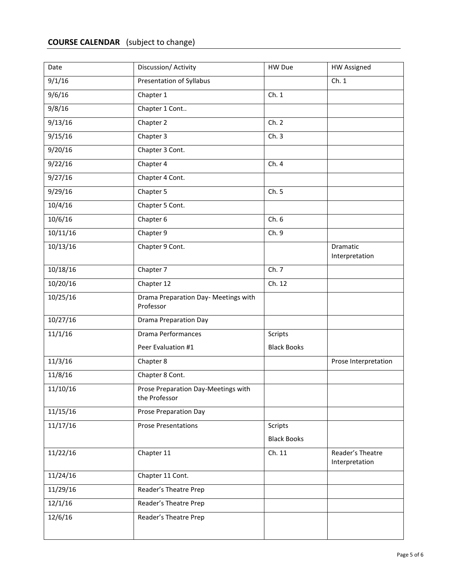# **COURSE CALENDAR** (subject to change)

| Date     | Discussion/ Activity                                 | HW Due             | <b>HW Assigned</b>                 |
|----------|------------------------------------------------------|--------------------|------------------------------------|
| 9/1/16   | Presentation of Syllabus                             |                    | Ch.1                               |
| 9/6/16   | Chapter 1                                            | Ch. 1              |                                    |
| 9/8/16   | Chapter 1 Cont                                       |                    |                                    |
| 9/13/16  | Chapter 2                                            | Ch. 2              |                                    |
| 9/15/16  | Chapter 3                                            | Ch.3               |                                    |
| 9/20/16  | Chapter 3 Cont.                                      |                    |                                    |
| 9/22/16  | Chapter 4                                            | Ch. 4              |                                    |
| 9/27/16  | Chapter 4 Cont.                                      |                    |                                    |
| 9/29/16  | Chapter 5                                            | Ch. 5              |                                    |
| 10/4/16  | Chapter 5 Cont.                                      |                    |                                    |
| 10/6/16  | Chapter 6                                            | Ch. 6              |                                    |
| 10/11/16 | Chapter 9                                            | Ch. 9              |                                    |
| 10/13/16 | Chapter 9 Cont.                                      |                    | Dramatic<br>Interpretation         |
| 10/18/16 | Chapter 7                                            | Ch. 7              |                                    |
| 10/20/16 | Chapter 12                                           | Ch. 12             |                                    |
| 10/25/16 | Drama Preparation Day- Meetings with<br>Professor    |                    |                                    |
| 10/27/16 | <b>Drama Preparation Day</b>                         |                    |                                    |
| 11/1/16  | <b>Drama Performances</b>                            | Scripts            |                                    |
|          | Peer Evaluation #1                                   | <b>Black Books</b> |                                    |
| 11/3/16  | Chapter 8                                            |                    | Prose Interpretation               |
| 11/8/16  | Chapter 8 Cont.                                      |                    |                                    |
| 11/10/16 | Prose Preparation Day-Meetings with<br>the Professor |                    |                                    |
| 11/15/16 | <b>Prose Preparation Day</b>                         |                    |                                    |
| 11/17/16 | <b>Prose Presentations</b>                           | Scripts            |                                    |
|          |                                                      | <b>Black Books</b> |                                    |
| 11/22/16 | Chapter 11                                           | Ch. 11             | Reader's Theatre<br>Interpretation |
| 11/24/16 | Chapter 11 Cont.                                     |                    |                                    |
| 11/29/16 | Reader's Theatre Prep                                |                    |                                    |
| 12/1/16  | Reader's Theatre Prep                                |                    |                                    |
| 12/6/16  | Reader's Theatre Prep                                |                    |                                    |